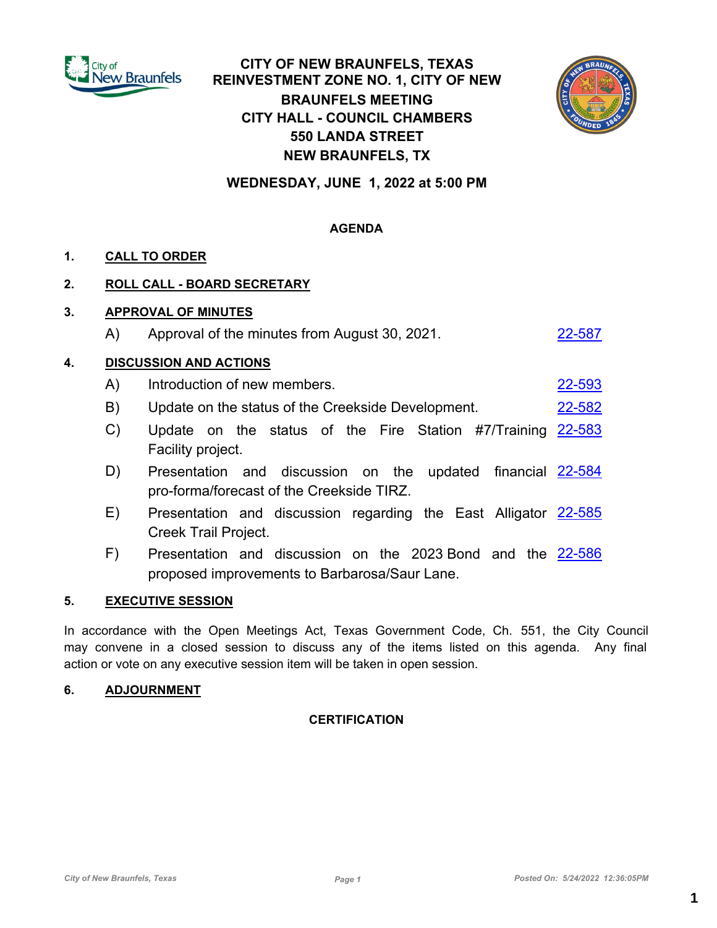

# **CITY OF NEW BRAUNFELS, TEXAS REINVESTMENT ZONE NO. 1, CITY OF NEW BRAUNFELS MEETING CITY HALL - COUNCIL CHAMBERS 550 LANDA STREET NEW BRAUNFELS, TX**



**WEDNESDAY, JUNE 1, 2022 at 5:00 PM**

## **AGENDA**

## **1. CALL TO ORDER**

### **2. ROLL CALL - BOARD SECRETARY**

### **3. APPROVAL OF MINUTES**

A) Approval of the minutes from August 30, 2021.

### **4. DISCUSSION AND ACTIONS**

- A) Introduction of new members. [22-593](http://newbraunfels.legistar.com/gateway.aspx?m=l&id=/matter.aspx?key=10606)
- B) Update on the status of the Creekside Development. [22-582](http://newbraunfels.legistar.com/gateway.aspx?m=l&id=/matter.aspx?key=10595)
- C) Update on the status of the Fire Station #7/Training [22-583](http://newbraunfels.legistar.com/gateway.aspx?m=l&id=/matter.aspx?key=10596) Facility project.
- D) Presentation and discussion on the updated financial [22-584](http://newbraunfels.legistar.com/gateway.aspx?m=l&id=/matter.aspx?key=10597) pro-forma/forecast of the Creekside TIRZ.
- E) Presentation and discussion regarding the East Alligator [22-585](http://newbraunfels.legistar.com/gateway.aspx?m=l&id=/matter.aspx?key=10598) Creek Trail Project.
- F) Presentation and discussion on the 2023 Bond and the [22-586](http://newbraunfels.legistar.com/gateway.aspx?m=l&id=/matter.aspx?key=10599) proposed improvements to Barbarosa/Saur Lane.

#### **5. EXECUTIVE SESSION**

In accordance with the Open Meetings Act, Texas Government Code, Ch. 551, the City Council may convene in a closed session to discuss any of the items listed on this agenda. Any final action or vote on any executive session item will be taken in open session.

#### **6. ADJOURNMENT**

## **CERTIFICATION**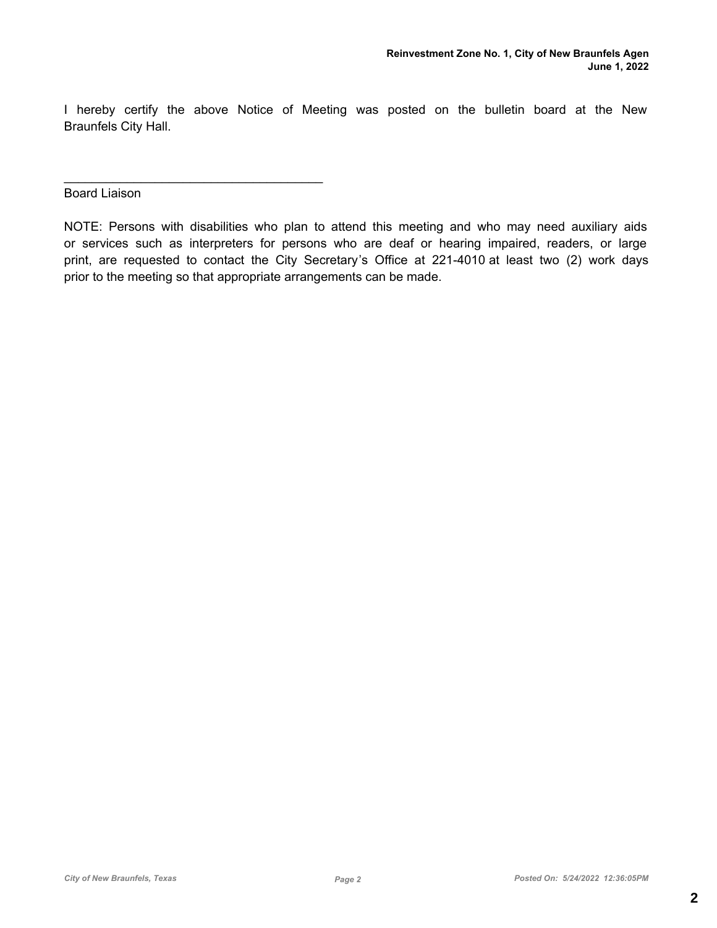I hereby certify the above Notice of Meeting was posted on the bulletin board at the New Braunfels City Hall.

Board Liaison

 $\mathcal{L}_\text{max}$  and  $\mathcal{L}_\text{max}$  and  $\mathcal{L}_\text{max}$  and  $\mathcal{L}_\text{max}$ 

NOTE: Persons with disabilities who plan to attend this meeting and who may need auxiliary aids or services such as interpreters for persons who are deaf or hearing impaired, readers, or large print, are requested to contact the City Secretary's Office at 221-4010 at least two (2) work days prior to the meeting so that appropriate arrangements can be made.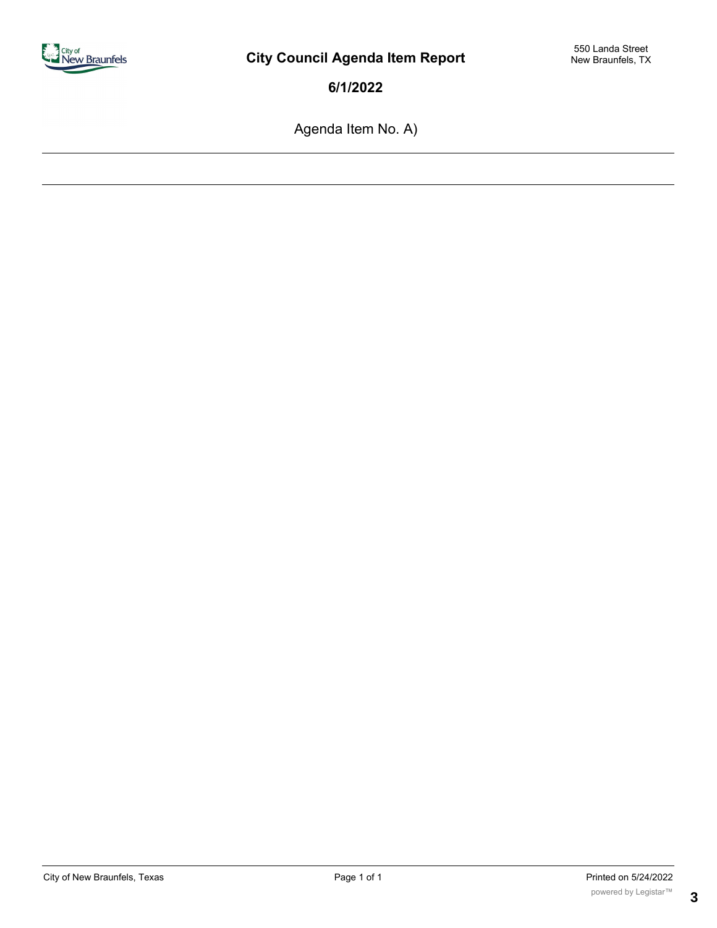

Agenda Item No. A)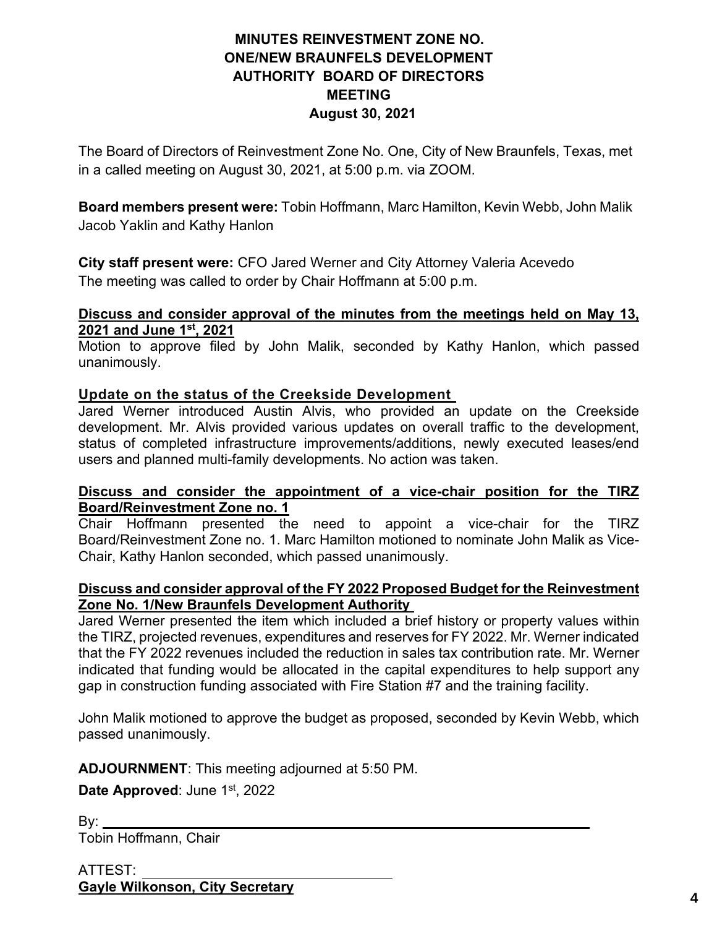# **MINUTES REINVESTMENT ZONE NO. ONE/NEW BRAUNFELS DEVELOPMENT AUTHORITY BOARD OF DIRECTORS MEETING August 30, 2021**

The Board of Directors of Reinvestment Zone No. One, City of New Braunfels, Texas, met in a called meeting on August 30, 2021, at 5:00 p.m. via ZOOM.

**Board members present were:** Tobin Hoffmann, Marc Hamilton, Kevin Webb, John Malik Jacob Yaklin and Kathy Hanlon

**City staff present were:** CFO Jared Werner and City Attorney Valeria Acevedo The meeting was called to order by Chair Hoffmann at 5:00 p.m.

# **Discuss and consider approval of the minutes from the meetings held on May 13, 2021 and June 1st, 2021**

Motion to approve filed by John Malik, seconded by Kathy Hanlon, which passed unanimously.

# **Update on the status of the Creekside Development**

Jared Werner introduced Austin Alvis, who provided an update on the Creekside development. Mr. Alvis provided various updates on overall traffic to the development, status of completed infrastructure improvements/additions, newly executed leases/end users and planned multi-family developments. No action was taken.

# **Discuss and consider the appointment of a vice-chair position for the TIRZ Board/Reinvestment Zone no. 1**

Chair Hoffmann presented the need to appoint a vice-chair for the TIRZ Board/Reinvestment Zone no. 1. Marc Hamilton motioned to nominate John Malik as Vice-Chair, Kathy Hanlon seconded, which passed unanimously.

# **Discuss and consider approval of the FY 2022 Proposed Budget for the Reinvestment Zone No. 1/New Braunfels Development Authority**

Jared Werner presented the item which included a brief history or property values within the TIRZ, projected revenues, expenditures and reserves for FY 2022. Mr. Werner indicated that the FY 2022 revenues included the reduction in sales tax contribution rate. Mr. Werner indicated that funding would be allocated in the capital expenditures to help support any gap in construction funding associated with Fire Station #7 and the training facility.

John Malik motioned to approve the budget as proposed, seconded by Kevin Webb, which passed unanimously.

**ADJOURNMENT**: This meeting adjourned at 5:50 PM.

Date Approved: June 1<sup>st</sup>, 2022

By: Tobin Hoffmann, Chair

ATTEST: **Gayle Wilkonson, City Secretary 4**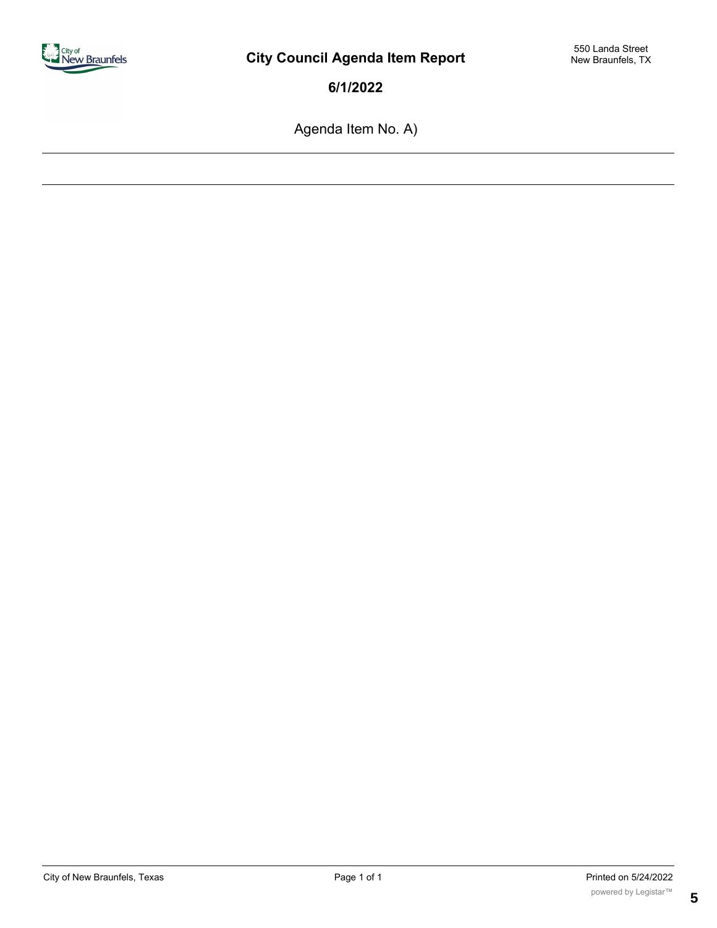

Agenda Item No. A)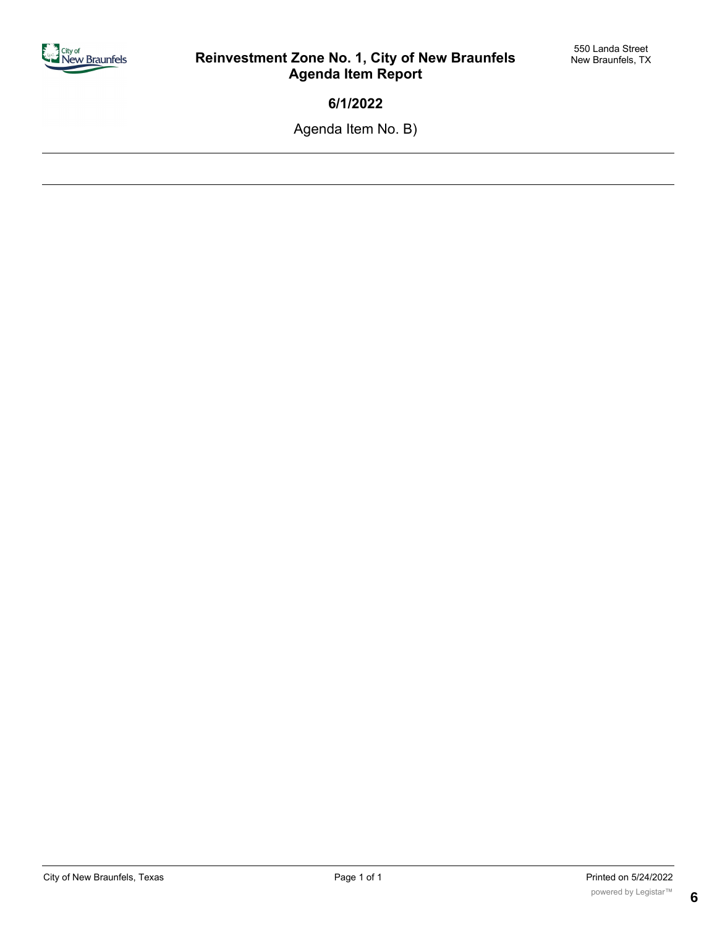

Agenda Item No. B)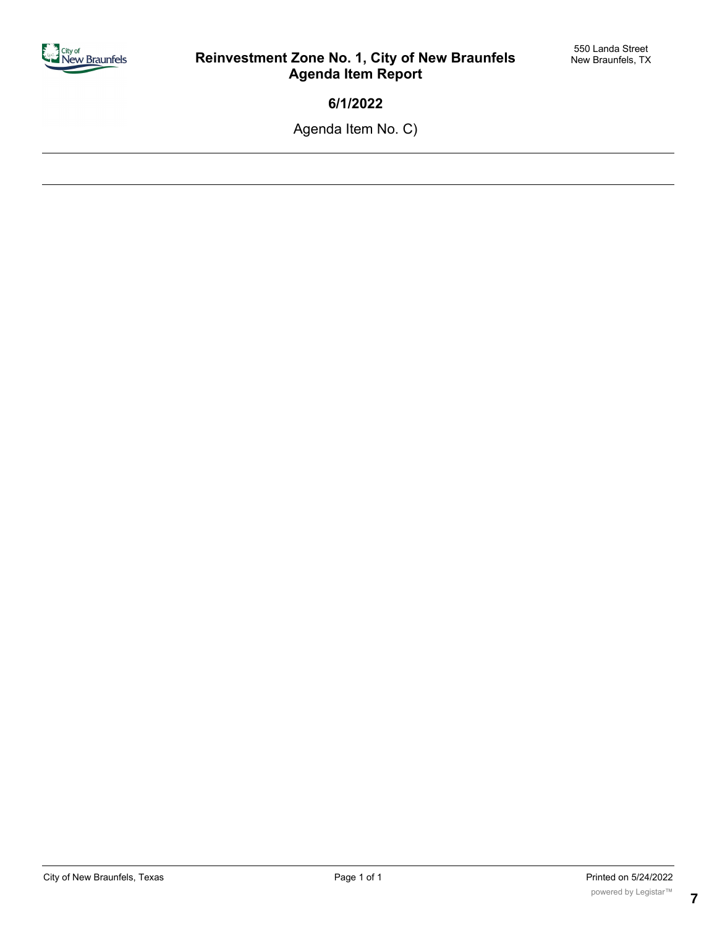

Agenda Item No. C)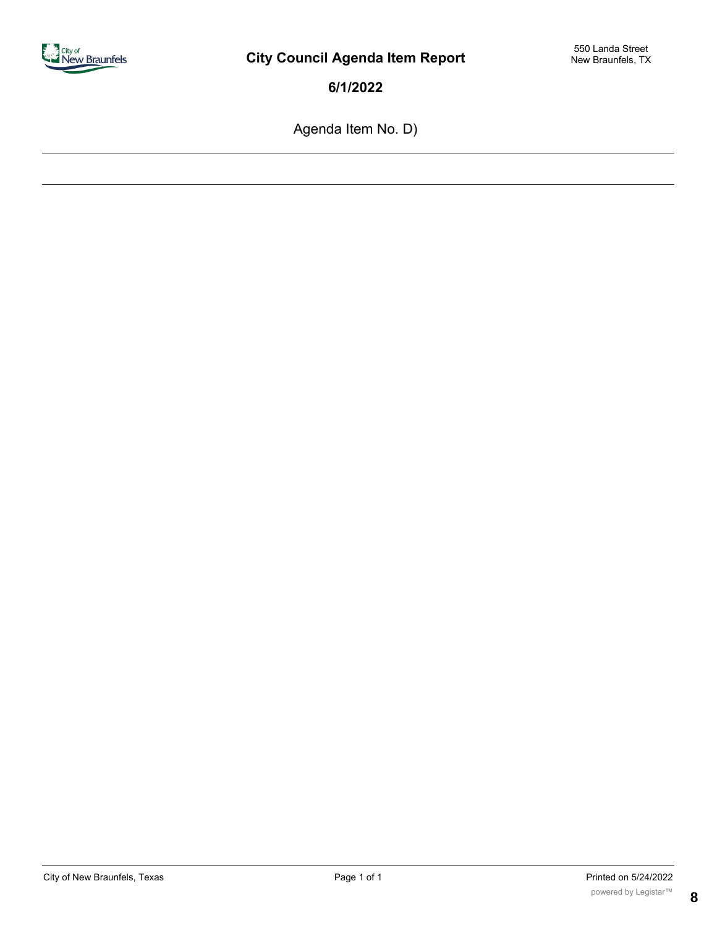

Agenda Item No. D)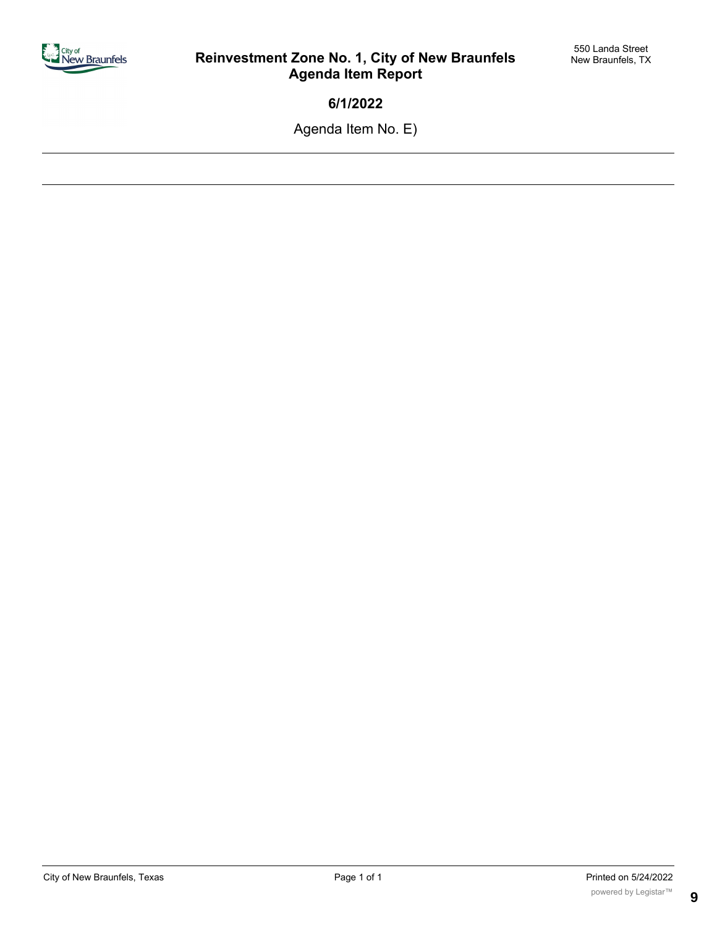

Agenda Item No. E)